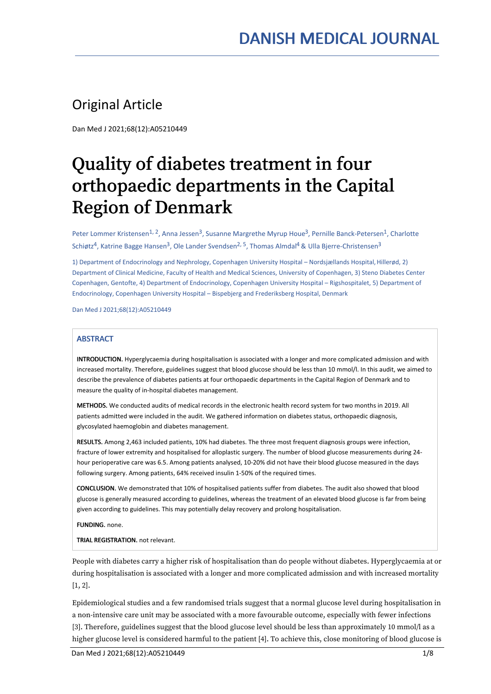## Original Article

Dan Med J 2021;68(12):A05210449

# Quality of diabetes treatment in four orthopaedic departments in the Capital Region of Denmark

Peter Lommer Kristensen<sup>1, 2</sup>, Anna Jessen<sup>3</sup>, Susanne Margrethe Myrup Houe<sup>3</sup>, Pernille Banck-Petersen<sup>1</sup>, Charlotte Schiøtz<sup>4</sup>, Katrine Bagge Hansen<sup>3</sup>, Ole Lander Svendsen<sup>2, 5</sup>, Thomas Almdal<sup>4</sup> & Ulla Bjerre-Christensen<sup>3</sup>

1) Department of Endocrinology and Nephrology, Copenhagen University Hospital – Nordsjællands Hospital, Hillerød, 2) Department of Clinical Medicine, Faculty of Health and Medical Sciences, University of Copenhagen, 3) Steno Diabetes Center Copenhagen, Gentofte, 4) Department of Endocrinology, Copenhagen University Hospital – Rigshospitalet, 5) Department of Endocrinology, Copenhagen University Hospital – Bispebjerg and Frederiksberg Hospital, Denmark

Dan Med J 2021;68(12):A05210449

### **ABSTRACT**

INTRODUCTION. Hyperglycaemia during hospitalisation is associated with a longer and more complicated admission and with increased mortality. Therefore, guidelines suggest that blood glucose should be less than 10 mmol/l. In this audit, we aimed to describe the prevalence of diabetes patients at four orthopaedic departments in the Capital Region of Denmark and to measure the quality of in-hospital diabetes management.

METHODS. We conducted audits of medical records in the electronic health record system for two months in 2019. All patients admitted were included in the audit. We gathered information on diabetes status, orthopaedic diagnosis, glycosylated haemoglobin and diabetes management.

RESULTS. Among 2,463 included patients, 10% had diabetes. The three most frequent diagnosis groups were infection, fracture of lower extremity and hospitalised for alloplastic surgery. The number of blood glucose measurements during 24 hour perioperative care was 6.5. Among patients analysed, 10-20% did not have their blood glucose measured in the days following surgery. Among patients, 64% received insulin 1-50% of the required times.

CONCLUSION. We demonstrated that 10% of hospitalised patients suffer from diabetes. The audit also showed that blood glucose is generally measured according to guidelines, whereas the treatment of an elevated blood glucose is far from being given according to guidelines. This may potentially delay recovery and prolong hospitalisation.

FUNDING. none.

TRIAL REGISTRATION. not relevant.

People with diabetes carry a higher risk of hospitalisation than do people without diabetes. Hyperglycaemia at or during hospitalisation is associated with a longer and more complicated admission and with increased mortality [1, 2].

Epidemiological studies and a few randomised trials suggest that a normal glucose level during hospitalisation in a non-intensive care unit may be associated with a more favourable outcome, especially with fewer infections [3]. Therefore, guidelines suggest that the blood glucose level should be less than approximately 10 mmol/l as a higher glucose level is considered harmful to the patient [4]. To achieve this, close monitoring of blood glucose is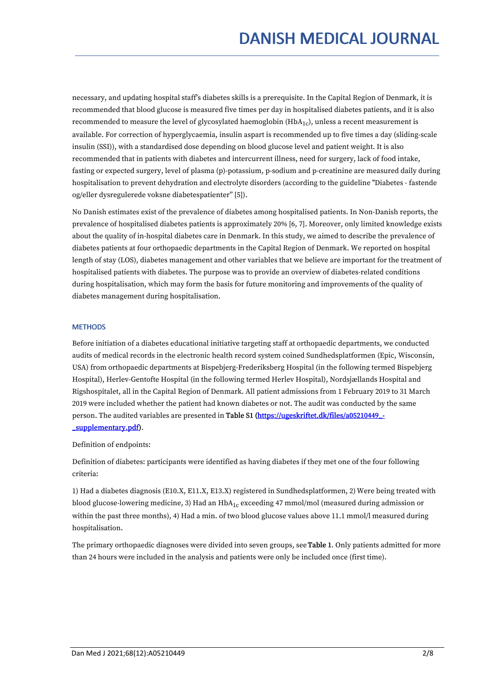necessary, and updating hospital staff's diabetes skills is a prerequisite. In the Capital Region of Denmark, it is recommended that blood glucose is measured five times per day in hospitalised diabetes patients, and it is also recommended to measure the level of glycosylated haemoglobin (HbA<sub>1c</sub>), unless a recent measurement is available. For correction of hyperglycaemia, insulin aspart is recommended up to five times a day (sliding-scale insulin (SSI)), with a standardised dose depending on blood glucose level and patient weight. It is also recommended that in patients with diabetes and intercurrent illness, need for surgery, lack of food intake, fasting or expected surgery, level of plasma (p)-potassium, p-sodium and p-creatinine are measured daily during hospitalisation to prevent dehydration and electrolyte disorders (according to the guideline "Diabetes - fastende og/eller dysregulerede voksne diabetespatienter" [5]).

No Danish estimates exist of the prevalence of diabetes among hospitalised patients. In Non-Danish reports, the prevalence of hospitalised diabetes patients is approximately 20% [6, 7]. Moreover, only limited knowledge exists about the quality of in-hospital diabetes care in Denmark. In this study, we aimed to describe the prevalence of diabetes patients at four orthopaedic departments in the Capital Region of Denmark. We reported on hospital length of stay (LOS), diabetes management and other variables that we believe are important for the treatment of hospitalised patients with diabetes. The purpose was to provide an overview of diabetes-related conditions during hospitalisation, which may form the basis for future monitoring and improvements of the quality of diabetes management during hospitalisation.

### **MFTHODS**

Before initiation of a diabetes educational initiative targeting staff at orthopaedic departments, we conducted audits of medical records in the electronic health record system coined Sundhedsplatformen (Epic, Wisconsin, USA) from orthopaedic departments at Bispebjerg-Frederiksberg Hospital (in the following termed Bispebjerg Hospital), Herlev-Gentofte Hospital (in the following termed Herlev Hospital), Nordsjællands Hospital and Rigshospitalet, all in the Capital Region of Denmark. All patient admissions from 1 February 2019 to 31 March 2019 were included whether the patient had known diabetes or not. The audit was conducted by the same person. The audited variables are presented in Table S1 [\(https://ugeskriftet.dk/files/a05210449\\_-](https://ugeskriftet.dk/files/a05210449_-_supplementary.pdf) \_supplementary.pdf).

Definition of endpoints:

Definition of diabetes: participants were identified as having diabetes if they met one of the four following criteria:

1) Had a diabetes diagnosis (E10.X, E11.X, E13.X) registered in Sundhedsplatformen, 2) Were being treated with blood glucose-lowering medicine, 3) Had an HbA<sub>1c</sub> exceeding 47 mmol/mol (measured during admission or within the past three months), 4) Had a min. of two blood glucose values above 11.1 mmol/l measured during hospitalisation.

The primary orthopaedic diagnoses were divided into seven groups, see Table 1. Only patients admitted for more than 24 hours were included in the analysis and patients were only be included once (first time).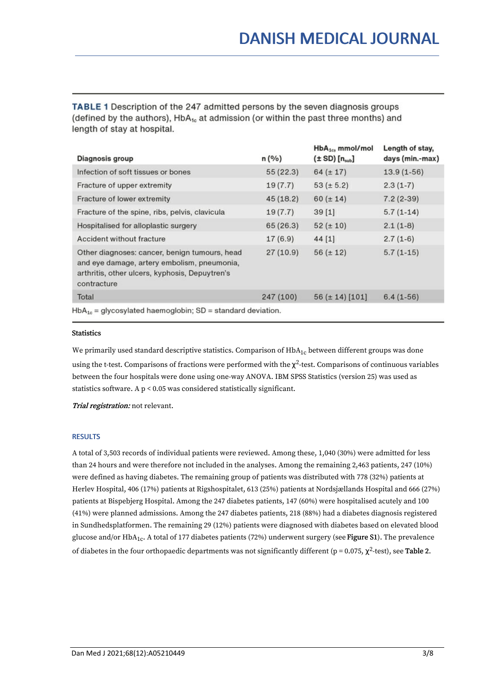TABLE 1 Description of the 247 admitted persons by the seven diagnosis groups (defined by the authors), HbA<sub>1c</sub> at admission (or within the past three months) and length of stay at hospital.

| Diagnosis group                                                                                                                                               | n(%)      | $HbA_{1c}$ , mmol/mol<br>$(\pm SD)$ [n <sub>sub</sub> ] | Length of stay,<br>days (min.-max) |  |  |  |  |  |
|---------------------------------------------------------------------------------------------------------------------------------------------------------------|-----------|---------------------------------------------------------|------------------------------------|--|--|--|--|--|
| Infection of soft tissues or bones                                                                                                                            | 55(22.3)  | $64 (\pm 17)$                                           | $13.9(1-56)$                       |  |  |  |  |  |
| Fracture of upper extremity                                                                                                                                   | 19(7.7)   | $53 (\pm 5.2)$                                          | $2.3(1-7)$                         |  |  |  |  |  |
| Fracture of lower extremity                                                                                                                                   | 45(18.2)  | $60 (\pm 14)$                                           | $7.2(2-39)$                        |  |  |  |  |  |
| Fracture of the spine, ribs, pelvis, clavicula                                                                                                                | 19(7.7)   | 39[1]                                                   | $5.7(1-14)$                        |  |  |  |  |  |
| Hospitalised for alloplastic surgery                                                                                                                          | 65(26.3)  | $52 (\pm 10)$                                           | $2.1(1-8)$                         |  |  |  |  |  |
| Accident without fracture                                                                                                                                     | 17(6.9)   | 44[1]                                                   | $2.7(1-6)$                         |  |  |  |  |  |
| Other diagnoses: cancer, benign tumours, head<br>and eye damage, artery embolism, pneumonia,<br>arthritis, other ulcers, kyphosis, Depuytren's<br>contracture | 27(10.9)  | $56 (\pm 12)$                                           | $5.7(1-15)$                        |  |  |  |  |  |
| Total                                                                                                                                                         | 247 (100) | 56 ( $\pm$ 14) [101]                                    | $6.4(1-56)$                        |  |  |  |  |  |
| $HbA_{1c}$ = glycosylated haemoglobin; SD = standard deviation.                                                                                               |           |                                                         |                                    |  |  |  |  |  |

### **Statistics**

We primarily used standard descriptive statistics. Comparison of  $HbA_{1c}$  between different groups was done using the t-test. Comparisons of fractions were performed with the  $\chi^2$ -test. Comparisons of continuous variables between the four hospitals were done using one-way ANOVA. IBM SPSS Statistics (version 25) was used as statistics software. A p < 0.05 was considered statistically significant.

Trial registration: not relevant.

### RESULTS

A total of 3,503 records of individual patients were reviewed. Among these, 1,040 (30%) were admitted for less than 24 hours and were therefore not included in the analyses. Among the remaining 2,463 patients, 247 (10%) were defined as having diabetes. The remaining group of patients was distributed with 778 (32%) patients at Herlev Hospital, 406 (17%) patients at Rigshospitalet, 613 (25%) patients at Nordsjællands Hospital and 666 (27%) patients at Bispebjerg Hospital. Among the 247 diabetes patients, 147 (60%) were hospitalised acutely and 100 (41%) were planned admissions. Among the 247 diabetes patients, 218 (88%) had a diabetes diagnosis registered in Sundhedsplatformen. The remaining 29 (12%) patients were diagnosed with diabetes based on elevated blood glucose and/or HbA<sub>1c</sub>. A total of 177 diabetes patients (72%) underwent surgery (see **Figure S1**). The prevalence of diabetes in the four orthopaedic departments was not significantly different (p = 0.075,  $\chi^2$ -test), see **Table 2.**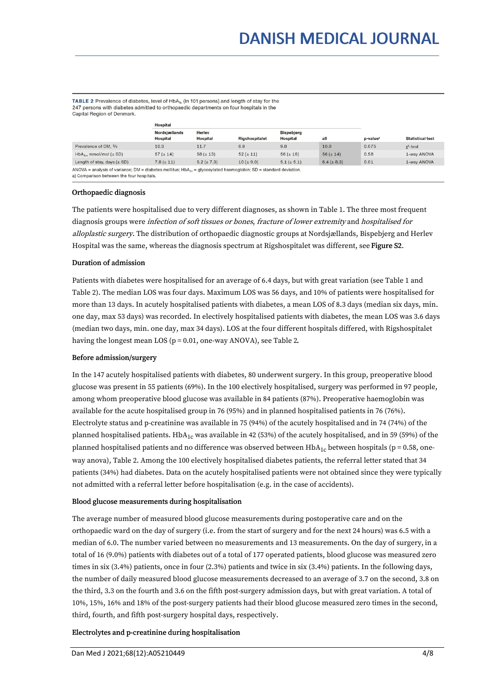TABLE 2 Prevalence of diabetes, level of HbA<sub>1c</sub> (in 101 persons) and length of stay for the 247 persons with diabetes admitted to orthopaedic departments on four hospitals in the Capital Region of Denmark.

|                                                                                                                                                                           | <b>Hospital</b>                  |                           |                |                                      |                 |                      |                         |
|---------------------------------------------------------------------------------------------------------------------------------------------------------------------------|----------------------------------|---------------------------|----------------|--------------------------------------|-----------------|----------------------|-------------------------|
|                                                                                                                                                                           | Nordsjællands<br><b>Hospital</b> | Herley<br><b>Hospital</b> | Rigshospitalet | <b>Bispebjerg</b><br><b>Hospital</b> | all             | p-value <sup>a</sup> | <b>Statistical test</b> |
| Prevalence of DM, %                                                                                                                                                       | 10.3                             | 11.7                      | 6.9            | 9.8                                  | 10.0            | 0.075                | $x^2$ -test             |
| $HbA_{1c}$ , mmol/mol ( $\pm$ SD)                                                                                                                                         | $57 (\pm 14)$                    | $58 (\pm 13)$             | $52 (\pm 11)$  | $56 (\pm 16)$                        | $56 (\pm 14)$   | 0.58                 | 1-way ANOVA             |
| Length of stay, days $(\pm SD)$                                                                                                                                           | $7.8 (\pm 11)$                   | $5.2 (\pm 7.3)$           | $10 (\pm 9.0)$ | $5.1 (\pm 5.1)$                      | $6.4 (\pm 8.3)$ | 0.01                 | 1-way ANOVA             |
| ANOVA = analysis of variance; DM = diabetes mellitus; HbA <sub>1c</sub> = glycosylated haemoglobin; SD = standard deviation.<br>a) Comparison between the four hospitals. |                                  |                           |                |                                      |                 |                      |                         |

### Orthopaedic diagnosis

The patients were hospitalised due to very different diagnoses, as shown in Table 1.The three most frequent diagnosis groups were infection of soft tissues or bones, fracture of lower extremity and hospitalised for alloplastic surgery. The distribution of orthopaedic diagnostic groups at Nordsjællands, Bispebjerg and Herlev Hospital was the same, whereas the diagnosis spectrum at Rigshospitalet was different, see Figure S2.

### Duration of admission

Patients with diabetes were hospitalised for an average of 6.4 days, but with great variation (see Table 1 and Table 2). The median LOS was four days. Maximum LOS was 56 days, and 10% of patients were hospitalised for more than 13 days. In acutely hospitalised patients with diabetes, a mean LOS of 8.3 days (median six days, min. one day, max 53 days) was recorded. In electively hospitalised patients with diabetes, the mean LOS was 3.6 days (median two days, min. one day, max 34 days). LOS at the four different hospitals differed, with Rigshospitalet having the longest mean LOS ( $p = 0.01$ , one-way ANOVA), see Table 2.<br>Before admission/surgery

In the 147 acutely hospitalised patients with diabetes, 80 underwent surgery. In this group, preoperative blood glucose was present in 55 patients (69%). In the 100 electively hospitalised, surgery was performed in 97 people, among whom preoperative blood glucose was available in 84 patients (87%). Preoperative haemoglobin was available for the acute hospitalised group in 76 (95%) and in planned hospitalised patients in 76 (76%). Electrolyte status and p-creatinine was available in 75 (94%) of the acutely hospitalised and in 74 (74%) of the planned hospitalised patients.  $HbA_{1c}$  was available in 42 (53%) of the acutely hospitalised, and in 59 (59%) of the planned hospitalised patients and no difference was observed between  $HbA_{1c}$  between hospitals (p = 0.58, oneway anova), Table 2.Among the 100 electively hospitalised diabetes patients, the referral letter stated that 34 patients (34%) had diabetes. Data on the acutely hospitalised patients were not obtained since they were typically not admitted with a referral letter before hospitalisation (e.g. in the case of accidents).

### Blood glucose measurements during hospitalisation

The average number of measured blood glucose measurements during postoperative care and on the orthopaedic ward on the day of surgery (i.e. from the start of surgery and for the next 24 hours) was 6.5 with a median of 6.0. The number varied between no measurements and 13 measurements. On the day of surgery, in a total of 16 (9.0%) patients with diabetes out of a total of 177 operated patients, blood glucose was measured zero times in six (3.4%) patients, once in four (2.3%) patients and twice in six (3.4%) patients. In the following days, the number of daily measured blood glucose measurements decreased to an average of 3.7 on the second, 3.8 on the third, 3.3 on the fourth and 3.6 on the fifth post-surgery admission days, but with great variation. A total of 10%, 15%, 16% and 18% of the post-surgery patients had their blood glucose measured zero times in the second, third, fourth, and fifth post-surgery hospital days, respectively.

### Electrolytes and p-creatinine during hospitalisation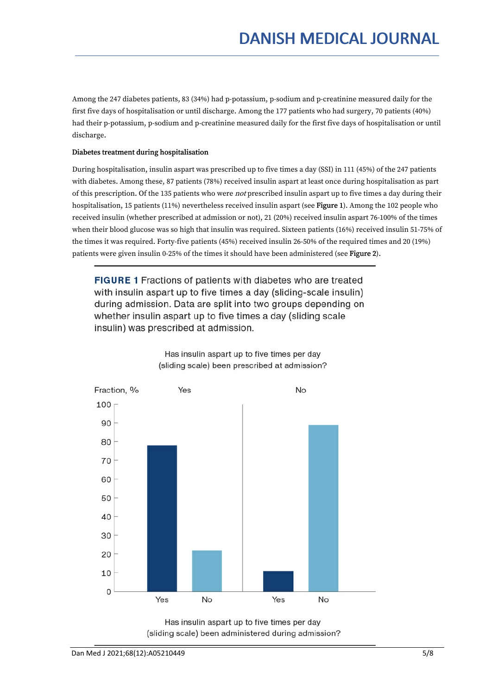Among the 247 diabetes patients, 83 (34%) had p-potassium, p-sodium and p-creatinine measured daily for the first five days of hospitalisation or until discharge. Among the 177 patients who had surgery, 70 patients (40%) had their p-potassium, p-sodium and p-creatinine measured daily for the first five days of hospitalisation or until discharge.

### Diabetes treatment during hospitalisation

During hospitalisation, insulin aspart was prescribed up to five times a day (SSI) in 111 (45%) of the 247 patients with diabetes. Among these, 87 patients (78%) received insulin aspart at least once during hospitalisation as part of this prescription. Of the 135 patients who were *not* prescribed insulin aspart up to five times a day during their hospitalisation, 15 patients (11%) nevertheless received insulin aspart (see Figure 1). Among the 102 people who received insulin (whether prescribed at admission or not), 21 (20%) received insulin aspart 76-100% of the times when their blood glucose was so high that insulin was required. Sixteen patients (16%) received insulin 51-75% of the times it was required. Forty-five patients (45%) received insulin 26-50% of the required times and 20 (19%) patients were given insulin 0-25% of the times it should have been administered (see Figure 2).

**FIGURE 1** Fractions of patients with diabetes who are treated with insulin aspart up to five times a day (sliding-scale insulin) during admission. Data are split into two groups depending on whether insulin aspart up to five times a day (sliding scale insulin) was prescribed at admission.



Has insulin aspart up to five times per day (sliding scale) been prescribed at admission?

Has insulin aspart up to five times per day (sliding scale) been administered during admission?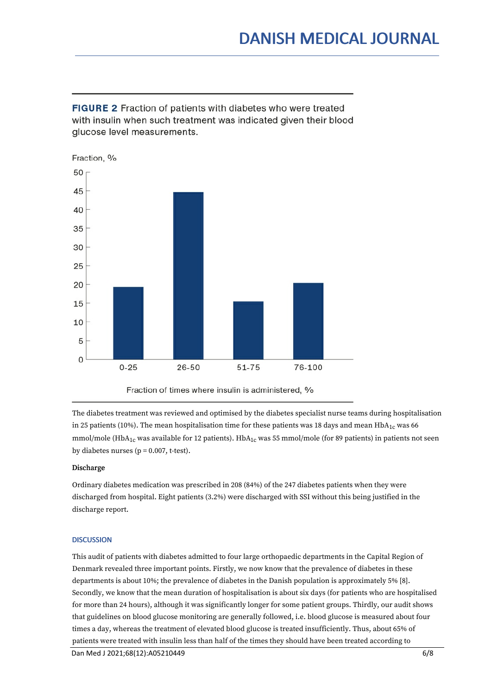**FIGURE 2** Fraction of patients with diabetes who were treated with insulin when such treatment was indicated given their blood glucose level measurements.



The diabetes treatment was reviewed and optimised by the diabetes specialist nurse teams during hospitalisation in 25 patients (10%). The mean hospitalisation time for these patients was 18 days and mean  $HbA_{1c}$  was 66 mmol/mole (HbA<sub>1c</sub> was available for 12 patients). HbA<sub>1c</sub> was 55 mmol/mole (for 89 patients) in patients not seen by diabetes nurses ( $p = 0.007$ , t-test).

### **Discharge**

Ordinary diabetes medication was prescribed in 208 (84%) of the 247 diabetes patients when they were discharged from hospital. Eight patients (3.2%) were discharged with SSI without this being justified in the discharge report.

### **DISCUSSION**

This audit of patients with diabetes admitted to four large orthopaedic departments in the Capital Region of Denmark revealed three important points. Firstly, we now know that the prevalence of diabetes in these departments is about 10%; the prevalence of diabetes in the Danish population is approximately 5% [8]. Secondly, we know that the mean duration of hospitalisation is about six days (for patients who are hospitalised for more than 24 hours), although it was significantly longer for some patient groups. Thirdly, our audit shows that guidelines on blood glucose monitoring are generally followed, i.e. blood glucose is measured about four times a day, whereas the treatment of elevated blood glucose is treated insufficiently. Thus, about 65% of patients were treated with insulin less than half of the times they should have been treated according to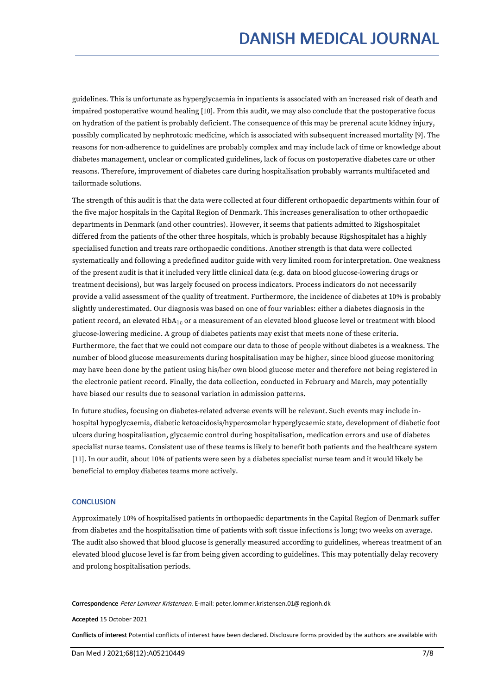guidelines. This is unfortunate as hyperglycaemia in inpatients is associated with an increased risk of death and impaired postoperative wound healing [10]. From this audit, we may also conclude that the postoperative focus on hydration of the patient is probably deficient. The consequence of this may be prerenal acute kidney injury, possibly complicated by nephrotoxic medicine, which is associated with subsequent increased mortality [9]. The reasons for non-adherence to guidelines are probably complex and may include lack of time or knowledge about diabetes management, unclear or complicated guidelines, lack of focus on postoperative diabetes care or other reasons. Therefore, improvement of diabetes care during hospitalisation probably warrants multifaceted and tailormade solutions.

The strength ofthis audit is that the data were collected at four different orthopaedic departments within four of the five major hospitals in the Capital Region of Denmark. This increases generalisation to other orthopaedic departments in Denmark (and other countries). However, it seems that patients admitted to Rigshospitalet differed from the patients of the other three hospitals, which is probably because Rigshospitalet has a highly specialised function and treats rare orthopaedic conditions. Another strength is that data were collected systematically and following a predefined auditor guide with very limited room for interpretation. One weakness of the present audit is that it included very little clinical data (e.g. data on blood glucose-lowering drugs or treatment decisions), but was largely focused on process indicators. Process indicators do not necessarily provide a valid assessment of the quality of treatment. Furthermore, the incidence of diabetes at 10% is probably slightly underestimated. Our diagnosis was based on one of four variables: either a diabetes diagnosis in the patient record, an elevated  $HDA_{1c}$  or a measurement of an elevated blood glucose level or treatment with blood glucose-lowering medicine. A group of diabetes patients may exist that meets none of these criteria. Furthermore, the fact that we could not compare our data to those of people without diabetes is a weakness. The number of blood glucose measurements during hospitalisation may be higher, since blood glucose monitoring may have been done by the patient using his/her own blood glucose meter and therefore not being registered in the electronic patient record. Finally, the data collection, conducted in February and March, may potentially have biased our results due to seasonal variation in admission patterns.

In future studies, focusing on diabetes-related adverse events will be relevant. Such events may include in hospital hypoglycaemia, diabetic ketoacidosis/hyperosmolar hyperglycaemic state, development of diabetic foot ulcers during hospitalisation, glycaemic control during hospitalisation, medication errors and use of diabetes specialist nurse teams. Consistent use of these teams is likely to benefit both patients and the healthcare system [11]. In our audit, about 10% of patients were seen by a diabetes specialist nurse team and it would likely be beneficial to employ diabetes teams more actively.

### **CONCLUSION**

Approximately 10% of hospitalised patients in orthopaedic departments in the Capital Region of Denmark suffer from diabetes and the hospitalisation time of patients with soft tissue infections is long; two weeks on average. The audit also showed that blood glucose is generally measured according to guidelines, whereas treatment of an elevated blood glucose level is far from being given according to guidelines. This may potentially delay recovery and prolong hospitalisation periods.

Correspondence Peter Lommer Kristensen. E-mail: peter.lommer.kristensen.01@regionh.dk

Accepted 15 October 2021

Conflicts of interest Potential conflicts of interest have been declared. Disclosure forms provided by the authors are available with